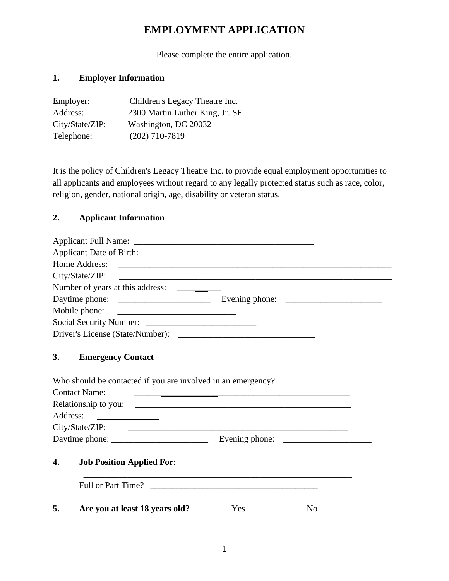# **EMPLOYMENT APPLICATION**

Please complete the entire application.

## **1. Employer Information**

| Employer:       | Children's Legacy Theatre Inc.  |
|-----------------|---------------------------------|
| Address:        | 2300 Martin Luther King, Jr. SE |
| City/State/ZIP: | Washington, DC 20032            |
| Telephone:      | $(202)$ 710-7819                |

It is the policy of Children's Legacy Theatre Inc. to provide equal employment opportunities to all applicants and employees without regard to any legally protected status such as race, color, religion, gender, national origin, age, disability or veteran status.

#### **2. Applicant Information**

|          | Home Address:<br><u> 1980 - John Stein, Amerikaansk politiker (* 1918)</u>                                              |                |
|----------|-------------------------------------------------------------------------------------------------------------------------|----------------|
|          | City/State/ZIP:                                                                                                         |                |
|          | Number of years at this address:                                                                                        |                |
|          |                                                                                                                         |                |
|          | Mobile phone:<br><u> 1980 - Jan Barnett, fransk politik (d. 1980)</u>                                                   |                |
|          |                                                                                                                         |                |
|          |                                                                                                                         |                |
| 3.       | <b>Emergency Contact</b>                                                                                                |                |
|          | Who should be contacted if you are involved in an emergency?                                                            |                |
|          | <b>Contact Name:</b>                                                                                                    |                |
|          |                                                                                                                         |                |
| Address: | <u> 1989 - Johann Harry Harry Harry Harry Harry Harry Harry Harry Harry Harry Harry Harry Harry Harry Harry Harry H</u> |                |
|          | City/State/ZIP:                                                                                                         |                |
|          |                                                                                                                         |                |
| 4.       | <b>Job Position Applied For:</b>                                                                                        |                |
|          | Full or Part Time?                                                                                                      |                |
| 5.       | Are you at least 18 years old? _________Yes                                                                             | N <sub>0</sub> |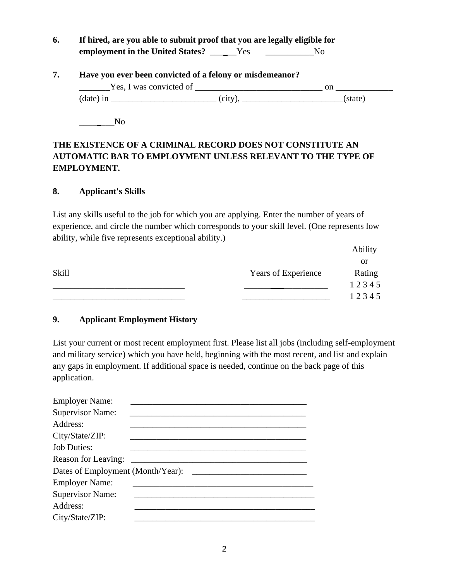**6. If hired, are you able to submit proof that you are legally eligible for** employment in the United States? \_\_\_\_\_Yes \_\_\_\_\_\_\_\_\_\_\_No

| Have you ever been convicted of a felony or misdemeanor? |                         |            |         |
|----------------------------------------------------------|-------------------------|------------|---------|
|                                                          | Yes, I was convicted of |            | on      |
|                                                          | $(data)$ in             | $(city)$ . | (state) |

 $\overline{\phantom{a}}$ No

# **THE EXISTENCE OF A CRIMINAL RECORD DOES NOT CONSTITUTE AN AUTOMATIC BAR TO EMPLOYMENT UNLESS RELEVANT TO THE TYPE OF EMPLOYMENT.**

#### **8. Applicant's Skills**

List any skills useful to the job for which you are applying. Enter the number of years of experience, and circle the number which corresponds to your skill level. (One represents low ability, while five represents exceptional ability.)

|       |                     | Ability |
|-------|---------------------|---------|
|       |                     | or      |
| Skill | Years of Experience | Rating  |
|       |                     | 12345   |
|       |                     | 12345   |

## **9. Applicant Employment History**

List your current or most recent employment first. Please list all jobs (including self-employment and military service) which you have held, beginning with the most recent, and list and explain any gaps in employment. If additional space is needed, continue on the back page of this application.

| <b>Employer Name:</b>   |                                   |
|-------------------------|-----------------------------------|
| <b>Supervisor Name:</b> |                                   |
| Address:                |                                   |
| City/State/ZIP:         |                                   |
| <b>Job Duties:</b>      |                                   |
| Reason for Leaving:     |                                   |
|                         | Dates of Employment (Month/Year): |
| <b>Employer Name:</b>   |                                   |
| <b>Supervisor Name:</b> |                                   |
| Address:                |                                   |
| City/State/ZIP:         |                                   |
|                         |                                   |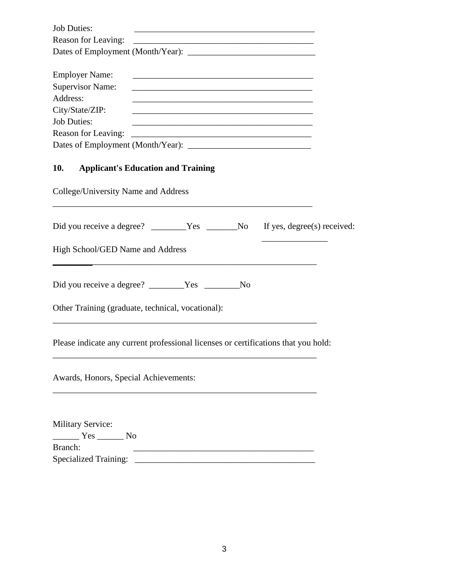| <b>Job Duties:</b>      |  |
|-------------------------|--|
| Reason for Leaving:     |  |
|                         |  |
|                         |  |
| <b>Employer Name:</b>   |  |
| <b>Supervisor Name:</b> |  |
| Address:                |  |
| City/State/ZIP:         |  |
| <b>Job Duties:</b>      |  |
| Reason for Leaving:     |  |
|                         |  |

\_\_\_\_\_\_\_\_\_\_\_\_\_\_\_\_\_\_\_\_\_\_\_\_\_\_\_\_\_\_\_\_\_\_\_\_\_\_\_\_\_\_\_\_\_\_\_\_\_\_\_\_\_\_\_\_\_\_\_

#### **10. Applicant's Education and Training**

College/University Name and Address

| High School/GED Name and Address                                                                      |  |  |  |  |
|-------------------------------------------------------------------------------------------------------|--|--|--|--|
| Did you receive a degree? ________Yes ________No<br>Other Training (graduate, technical, vocational): |  |  |  |  |
|                                                                                                       |  |  |  |  |

Please indicate any current professional licenses or certifications that you hold:

\_\_\_\_\_\_\_\_\_\_\_\_\_\_\_\_\_\_\_\_\_\_\_\_\_\_\_\_\_\_\_\_\_\_\_\_\_\_\_\_\_\_\_\_\_\_\_\_\_\_\_\_\_\_\_\_\_\_\_\_

Awards, Honors, Special Achievements:

Military Service: \_\_\_\_\_\_ Yes \_\_\_\_\_\_ No Branch: \_\_\_\_\_\_\_\_\_\_\_\_\_\_\_\_\_\_\_\_\_\_\_\_\_\_\_\_\_\_\_\_\_\_\_\_\_\_\_\_\_ Specialized Training: \_\_\_\_\_\_\_\_\_\_\_\_\_\_\_\_\_\_\_\_\_\_\_\_\_\_\_\_\_\_\_\_\_\_\_\_\_\_\_\_\_

\_\_\_\_\_\_\_\_\_\_\_\_\_\_\_\_\_\_\_\_\_\_\_\_\_\_\_\_\_\_\_\_\_\_\_\_\_\_\_\_\_\_\_\_\_\_\_\_\_\_\_\_\_\_\_\_\_\_\_\_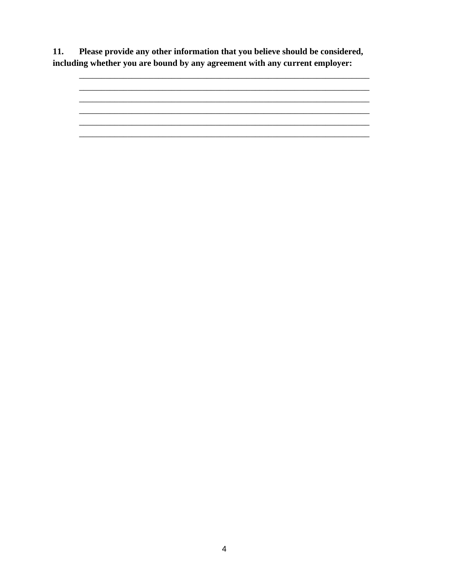Please provide any other information that you believe should be considered, 11. including whether you are bound by any agreement with any current employer: